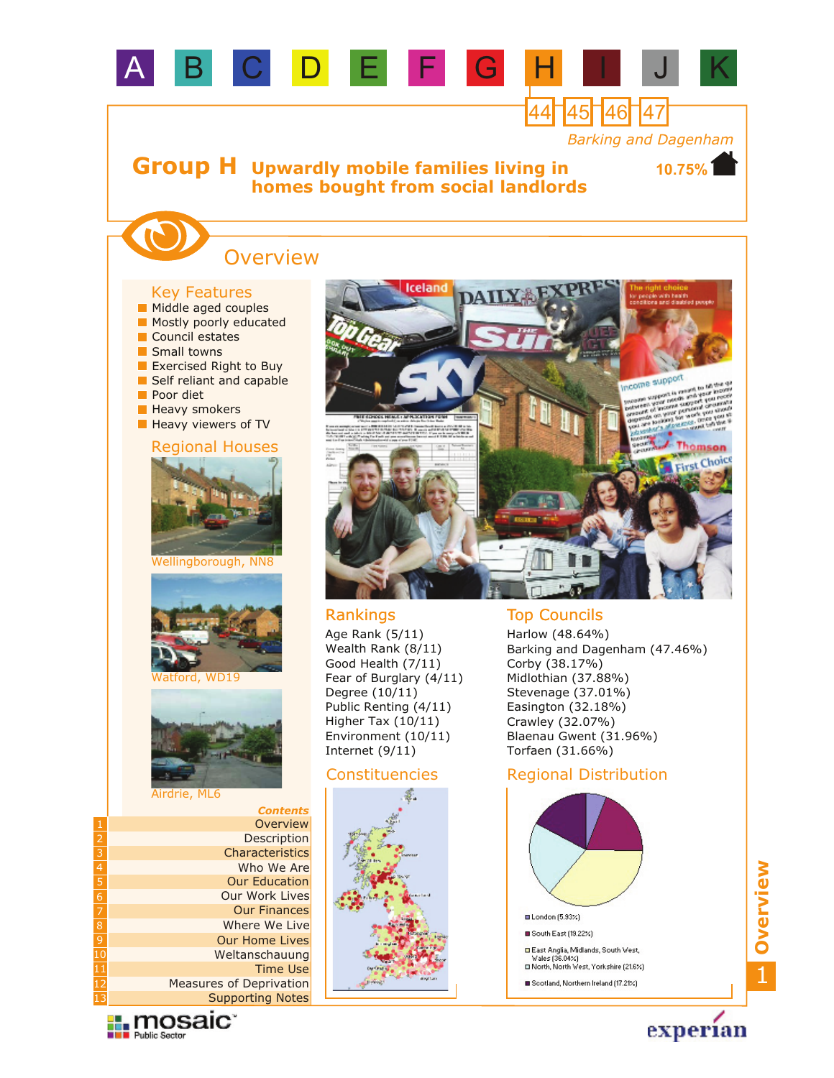

### **Heavy viewers of TV**

### Regional Houses



Wellingborough, NN8



atford, WD19



#### Airdrie, ML6

|                | <b>Contents</b>                |
|----------------|--------------------------------|
| 1              | Overview                       |
| $\overline{2}$ | Description                    |
| $\frac{1}{3}$  | Characteristics                |
| $\overline{4}$ | Who We Are                     |
| À              | <b>Our Education</b>           |
| $\overline{6}$ | <b>Our Work Lives</b>          |
| $\overline{7}$ | <b>Our Finances</b>            |
| $\overline{8}$ | Where We Live                  |
| $\overline{9}$ | <b>Our Home Lives</b>          |
| 10             | Weltanschauung                 |
| 11             | <b>Time Use</b>                |
| 12             | <b>Measures of Deprivation</b> |
| 13             | <b>Supporting Notes</b>        |

 $\prod_{\text{Public Sector}}$ 



Harlow (48.64%) Barking and Dagenham (47.46%) Corby (38.17%) Midlothian (37.88%) Stevenage (37.01%) Easington (32.18%) Crawley (32.07%) Blaenau Gwent (31.96%) Torfaen (31.66%)

## Regional Distribution



Constituencies

Age Rank (5/11) Wealth Rank (8/11) Good Health (7/11) Fear of Burglary (4/11)

Degree (10/11) Public Renting (4/11) Higher Tax (10/11) Environment (10/11) Internet (9/11)

> **■ London (5.93%)** South East (19.22%) □ East Anglia, Midlands, South West,<br>Wales (36.04%)<br>□ North, North West, Yorkshire (21.6%) Scotland, Northern Ireland (17.21%)

experian

Choice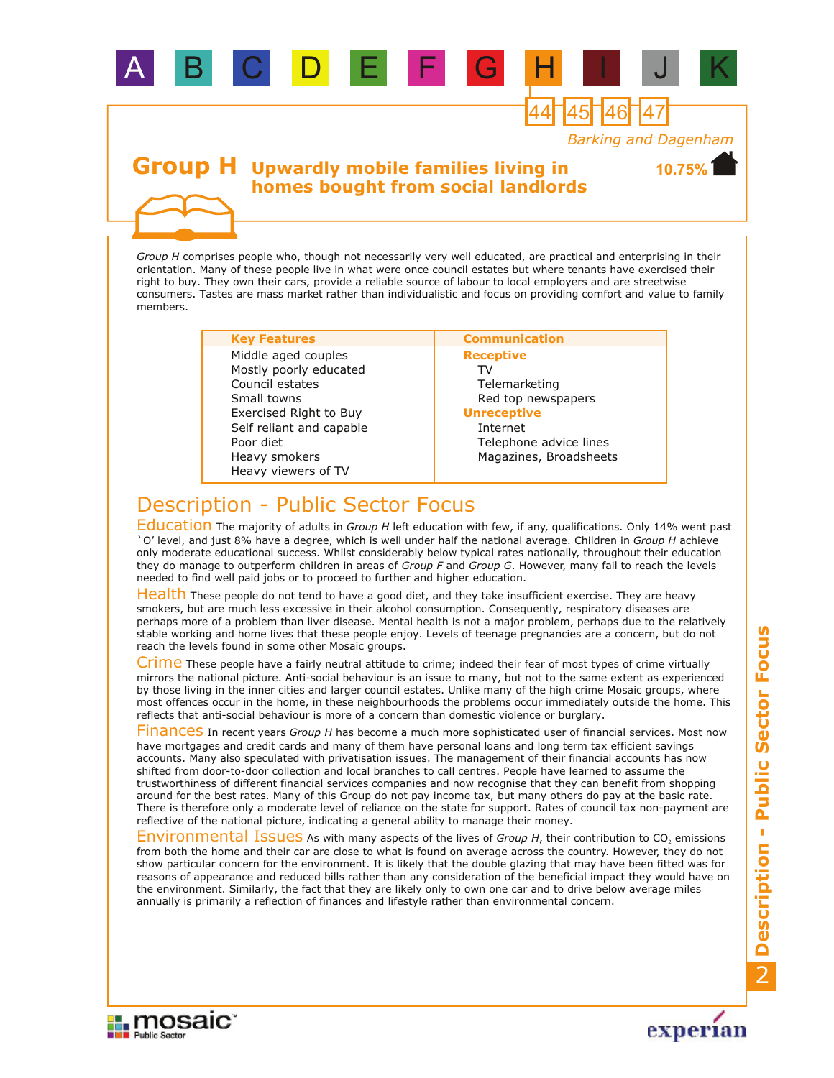

*Group H* comprises people who, though not necessarily very well educated, are practical and enterprising in their orientation. Many of these people live in what were once council estates but where tenants have exercised their right to buy. They own their cars, provide a reliable source of labour to local employers and are streetwise consumers. Tastes are mass market rather than individualistic and focus on providing comfort and value to family members.

#### **Key Features Communication**

B C D E

Heavy smokers Poor diet Council estates Small towns Exercised Right to Buy Heavy viewers of TV Self reliant and capable Mostly poorly educated Middle aged couples

## **Receptive** TV Telemarketing Red top newspapers

#### **Unreceptive**

Internet Telephone advice lines Magazines, Broadsheets

44 45 46 47

# Description - Public Sector Focus

Education The majority of adults in *Group H* left education with few, if any, qualifications. Only 14% went past `O' level, and just 8% have a degree, which is well under half the national average. Children in *Group H* achieve only moderate educational success. Whilst considerably below typical rates nationally, throughout their education they do manage to outperform children in areas of *Group F* and *Group G*. However, many fail to reach the levels needed to find well paid jobs or to proceed to further and higher education.

Health These people do not tend to have a good diet, and they take insufficient exercise. They are heavy smokers, but are much less excessive in their alcohol consumption. Consequently, respiratory diseases are perhaps more of a problem than liver disease. Mental health is not a major problem, perhaps due to the relatively stable working and home lives that these people enjoy. Levels of teenage pregnancies are a concern, but do not reach the levels found in some other Mosaic groups.

Crime These people have a fairly neutral attitude to crime; indeed their fear of most types of crime virtually mirrors the national picture. Anti-social behaviour is an issue to many, but not to the same extent as experienced by those living in the inner cities and larger council estates. Unlike many of the high crime Mosaic groups, where most offences occur in the home, in these neighbourhoods the problems occur immediately outside the home. This reflects that anti-social behaviour is more of a concern than domestic violence or burglary.

Finances In recent years *Group H* has become a much more sophisticated user of financial services. Most now have mortgages and credit cards and many of them have personal loans and long term tax efficient savings accounts. Many also speculated with privatisation issues. The management of their financial accounts has now shifted from door-to-door collection and local branches to call centres. People have learned to assume the trustworthiness of different financial services companies and now recognise that they can benefit from shopping around for the best rates. Many of this Group do not pay income tax, but many others do pay at the basic rate. There is therefore only a moderate level of reliance on the state for support. Rates of council tax non-payment are reflective of the national picture, indicating a general ability to manage their money.

Environmental Issues As with many aspects of the lives of *Group H*, their contribution to CO<sub>2</sub> emissions from both the home and their car are close to what is found on average across the country. However, they do not show particular concern for the environment. It is likely that the double glazing that may have been fitted was for reasons of appearance and reduced bills rather than any consideration of the beneficial impact they would have on the environment. Similarly, the fact that they are likely only to own one car and to drive below average miles annually is primarily a reflection of finances and lifestyle rather than environmental concern.



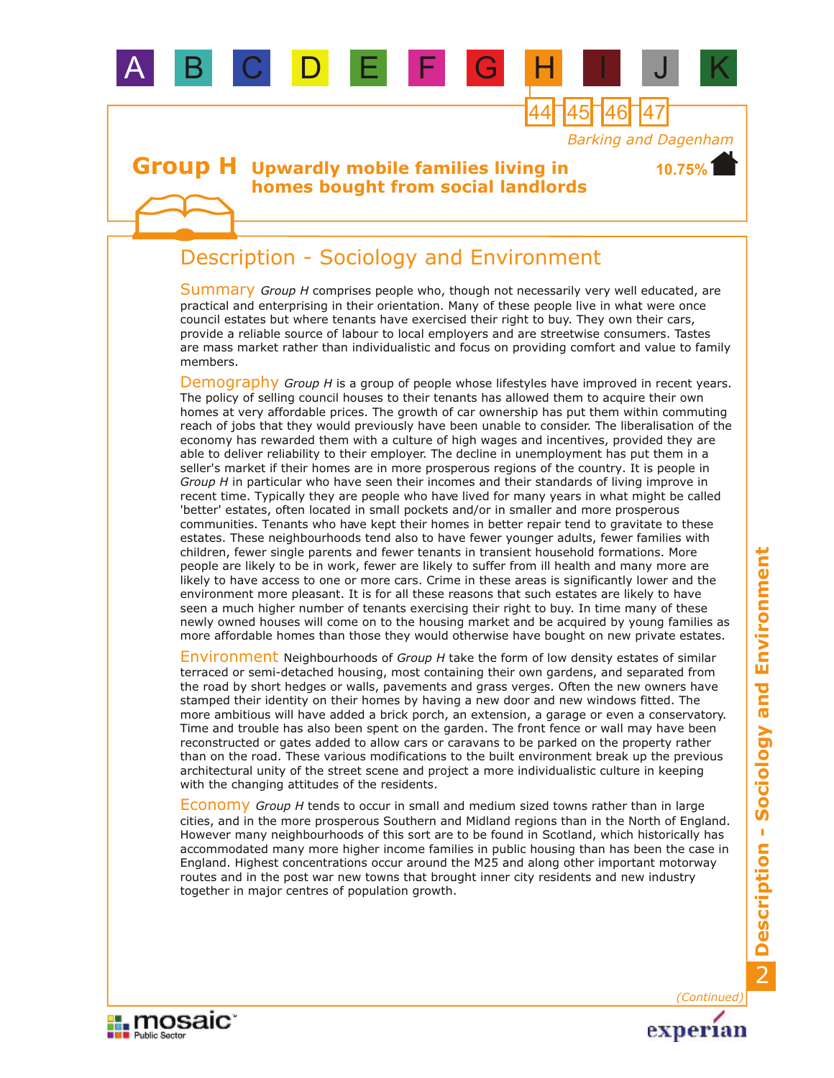

44 45 46 47

**10.75%**

## **Group H** Upwardly mobile families living in **homes bought from social landlords**

B C D E

## Description - Sociology and Environment

Summary Group H comprises people who, though not necessarily very well educated, are practical and enterprising in their orientation. Many of these people live in what were once council estates but where tenants have exercised their right to buy. They own their cars, provide a reliable source of labour to local employers and are streetwise consumers. Tastes are mass market rather than individualistic and focus on providing comfort and value to family members.

Demography Group H is a group of people whose lifestyles have improved in recent years. The policy of selling council houses to their tenants has allowed them to acquire their own homes at very affordable prices. The growth of car ownership has put them within commuting reach of jobs that they would previously have been unable to consider. The liberalisation of the economy has rewarded them with a culture of high wages and incentives, provided they are able to deliver reliability to their employer. The decline in unemployment has put them in a seller's market if their homes are in more prosperous regions of the country. It is people in *Group H* in particular who have seen their incomes and their standards of living improve in recent time. Typically they are people who have lived for many years in what might be called 'better' estates, often located in small pockets and/or in smaller and more prosperous communities. Tenants who have kept their homes in better repair tend to gravitate to these estates. These neighbourhoods tend also to have fewer younger adults, fewer families with children, fewer single parents and fewer tenants in transient household formations. More people are likely to be in work, fewer are likely to suffer from ill health and many more are likely to have access to one or more cars. Crime in these areas is significantly lower and the environment more pleasant. It is for all these reasons that such estates are likely to have seen a much higher number of tenants exercising their right to buy. In time many of these newly owned houses will come on to the housing market and be acquired by young families as more affordable homes than those they would otherwise have bought on new private estates.

Environment Neighbourhoods of *Group H* take the form of low density estates of similar terraced or semi-detached housing, most containing their own gardens, and separated from the road by short hedges or walls, pavements and grass verges. Often the new owners have stamped their identity on their homes by having a new door and new windows fitted. The more ambitious will have added a brick porch, an extension, a garage or even a conservatory. Time and trouble has also been spent on the garden. The front fence or wall may have been reconstructed or gates added to allow cars or caravans to be parked on the property rather than on the road. These various modifications to the built environment break up the previous architectural unity of the street scene and project a more individualistic culture in keeping with the changing attitudes of the residents.

Economy *Group H* tends to occur in small and medium sized towns rather than in large cities, and in the more prosperous Southern and Midland regions than in the North of England. However many neighbourhoods of this sort are to be found in Scotland, which historically has accommodated many more higher income families in public housing than has been the case in England. Highest concentrations occur around the M25 and along other important motorway routes and in the post war new towns that brought inner city residents and new industry together in major centres of population growth.

*(Continued)*

experian